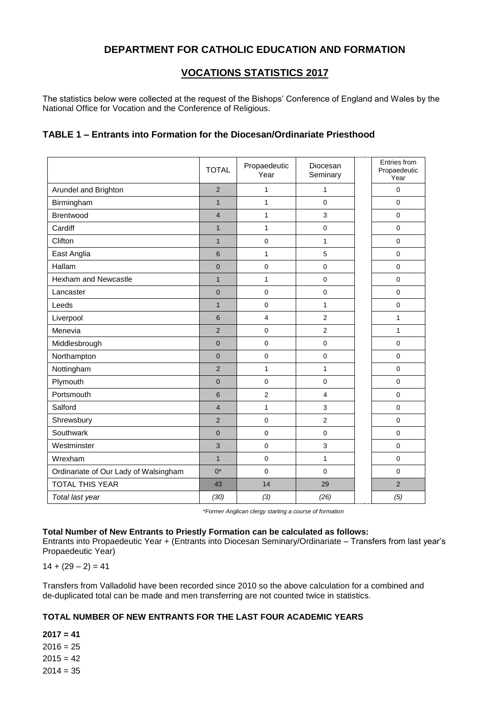### **DEPARTMENT FOR CATHOLIC EDUCATION AND FORMATION**

### **VOCATIONS STATISTICS 2017**

The statistics below were collected at the request of the Bishops' Conference of England and Wales by the National Office for Vocation and the Conference of Religious.

### **TABLE 1 – Entrants into Formation for the Diocesan/Ordinariate Priesthood**

|                                       | <b>TOTAL</b>   | Propaedeutic<br>Year | Diocesan<br>Seminary | Entries from<br>Propaedeutic<br>Year |
|---------------------------------------|----------------|----------------------|----------------------|--------------------------------------|
| Arundel and Brighton                  | $\overline{2}$ | 1                    | 1                    | $\mathbf 0$                          |
| Birmingham                            | $\mathbf{1}$   | $\mathbf{1}$         | $\mathbf 0$          | $\mathbf 0$                          |
| Brentwood                             | $\overline{4}$ | $\mathbf{1}$         | 3                    | $\mathbf 0$                          |
| Cardiff                               | $\mathbf{1}$   | $\mathbf{1}$         | $\mathbf 0$          | $\pmb{0}$                            |
| Clifton                               | $\mathbf{1}$   | $\mathbf 0$          | $\mathbf{1}$         | $\mathbf 0$                          |
| East Anglia                           | 6              | $\mathbf{1}$         | 5                    | $\mathbf 0$                          |
| Hallam                                | $\overline{0}$ | $\mathbf 0$          | $\mathbf 0$          | $\mathbf 0$                          |
| <b>Hexham and Newcastle</b>           | $\mathbf{1}$   | $\mathbf{1}$         | $\mathbf 0$          | $\mathbf 0$                          |
| Lancaster                             | $\overline{0}$ | $\mathbf 0$          | $\mathbf 0$          | $\mathbf 0$                          |
| Leeds                                 | $\mathbf{1}$   | $\mathbf 0$          | $\mathbf{1}$         | $\mathbf 0$                          |
| Liverpool                             | 6              | $\overline{4}$       | $\overline{2}$       | $\mathbf{1}$                         |
| Menevia                               | $\overline{2}$ | $\mathbf 0$          | $\overline{2}$       | $\mathbf{1}$                         |
| Middlesbrough                         | $\overline{0}$ | $\mathbf 0$          | $\mathbf 0$          | $\mathbf 0$                          |
| Northampton                           | $\overline{0}$ | 0                    | $\mathbf 0$          | $\mathbf 0$                          |
| Nottingham                            | $\overline{2}$ | $\mathbf{1}$         | $\mathbf{1}$         | $\mathbf 0$                          |
| Plymouth                              | $\overline{0}$ | $\Omega$             | $\mathbf 0$          | $\Omega$                             |
| Portsmouth                            | 6              | $\overline{2}$       | $\overline{4}$       | $\Omega$                             |
| Salford                               | $\overline{4}$ | $\mathbf{1}$         | 3                    | $\mathbf 0$                          |
| Shrewsbury                            | $\overline{2}$ | $\mathbf 0$          | $\overline{2}$       | $\mathbf 0$                          |
| Southwark                             | $\overline{0}$ | $\mathbf 0$          | $\mathbf 0$          | $\mathbf 0$                          |
| Westminster                           | 3              | $\mathbf 0$          | 3                    | $\mathbf 0$                          |
| Wrexham                               | $\mathbf{1}$   | $\mathbf 0$          | $\mathbf{1}$         | $\mathbf 0$                          |
| Ordinariate of Our Lady of Walsingham | $0^*$          | $\Omega$             | $\Omega$             | $\Omega$                             |
| <b>TOTAL THIS YEAR</b>                | 43             | 14                   | 29                   | $\overline{2}$                       |
| Total last year                       | (30)           | (3)                  | (26)                 | (5)                                  |

*\*Former Anglican clergy starting a course of formation*

#### **Total Number of New Entrants to Priestly Formation can be calculated as follows:**

Entrants into Propaedeutic Year + (Entrants into Diocesan Seminary/Ordinariate – Transfers from last year's Propaedeutic Year)

 $14 + (29 - 2) = 41$ 

Transfers from Valladolid have been recorded since 2010 so the above calculation for a combined and de-duplicated total can be made and men transferring are not counted twice in statistics.

#### **TOTAL NUMBER OF NEW ENTRANTS FOR THE LAST FOUR ACADEMIC YEARS**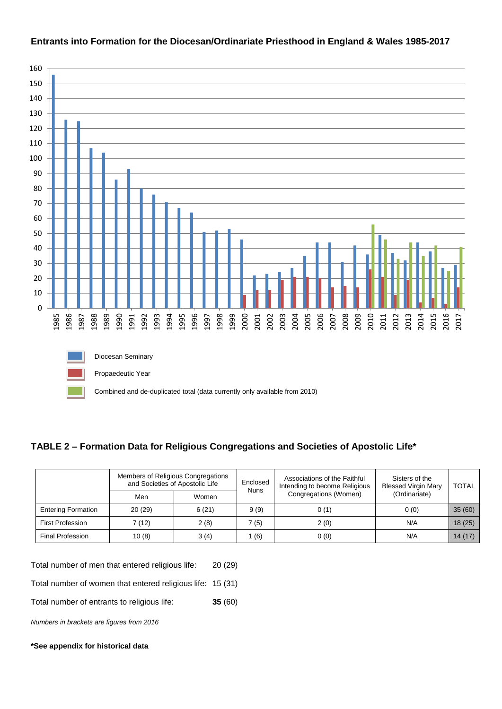

### **Entrants into Formation for the Diocesan/Ordinariate Priesthood in England & Wales 1985-2017**

# **TABLE 2 – Formation Data for Religious Congregations and Societies of Apostolic Life\***

|                           |        | Members of Religious Congregations<br>and Societies of Apostolic Life | Enclosed<br><b>Nuns</b> | Associations of the Faithful<br>Intending to become Religious | Sisters of the<br><b>Blessed Virgin Mary</b> | <b>TOTAL</b> |
|---------------------------|--------|-----------------------------------------------------------------------|-------------------------|---------------------------------------------------------------|----------------------------------------------|--------------|
|                           | Men    | Women                                                                 |                         | Congregations (Women)                                         | (Ordinariate)                                |              |
| <b>Entering Formation</b> | 20(29) | 6(21)                                                                 | 9(9)                    | 0(1)                                                          | 0(0)                                         | 35(60)       |
| <b>First Profession</b>   | 7(12)  | 2(8)                                                                  | 7 (5)                   | 2(0)                                                          | N/A                                          | 18(25)       |
| <b>Final Profession</b>   | 10(8)  | 3(4)                                                                  | (6)                     | 0(0)                                                          | N/A                                          | 14(17)       |

Total number of men that entered religious life: 20 (29)

Total number of women that entered religious life: 15 (31)

Total number of entrants to religious life: **35** (60)

*Numbers in brackets are figures from 2016*

**\*See appendix for historical data**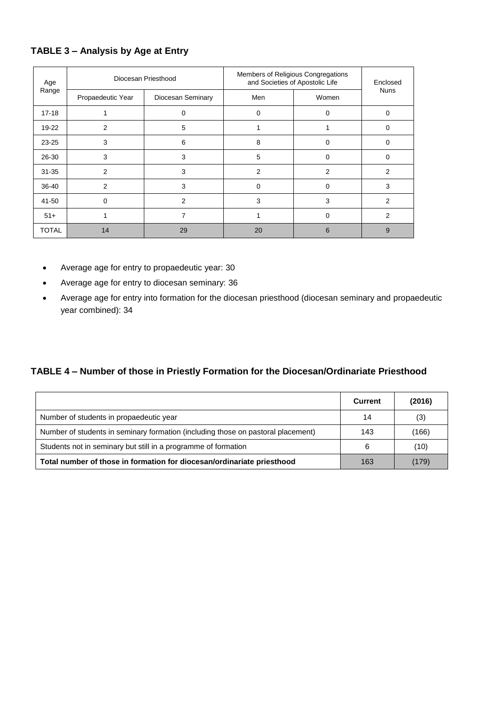### **TABLE 3 – Analysis by Age at Entry**

| Age<br>Range | Diocesan Priesthood |                   | Members of Religious Congregations<br>and Societies of Apostolic Life | Enclosed |             |
|--------------|---------------------|-------------------|-----------------------------------------------------------------------|----------|-------------|
|              | Propaedeutic Year   | Diocesan Seminary | Men                                                                   | Women    | <b>Nuns</b> |
| $17 - 18$    |                     | 0                 | 0                                                                     | 0        | $\Omega$    |
| 19-22        | $\overline{2}$      | 5                 |                                                                       |          | $\Omega$    |
| $23 - 25$    | 3                   | 6                 | 8                                                                     | 0        | $\Omega$    |
| 26-30        | 3                   | 3                 | 5                                                                     | $\Omega$ | 0           |
| $31 - 35$    | 2                   | 3                 | $\overline{2}$                                                        | 2        | 2           |
| 36-40        | 2                   | 3                 | $\Omega$                                                              | $\Omega$ | 3           |
| 41-50        | $\mathbf 0$         | 2                 | 3                                                                     | 3        | 2           |
| $51+$        |                     | 7                 |                                                                       | $\Omega$ | 2           |
| <b>TOTAL</b> | 14                  | 29                | 20                                                                    | 6        | 9           |

- Average age for entry to propaedeutic year: 30
- Average age for entry to diocesan seminary: 36
- Average age for entry into formation for the diocesan priesthood (diocesan seminary and propaedeutic year combined): 34

### **TABLE 4 – Number of those in Priestly Formation for the Diocesan/Ordinariate Priesthood**

|                                                                                  | <b>Current</b> | (2016) |
|----------------------------------------------------------------------------------|----------------|--------|
| Number of students in propaedeutic year                                          | 14             | (3)    |
| Number of students in seminary formation (including those on pastoral placement) | 143            | (166)  |
| Students not in seminary but still in a programme of formation                   | 6              | (10)   |
| Total number of those in formation for diocesan/ordinariate priesthood           | 163            | (179)  |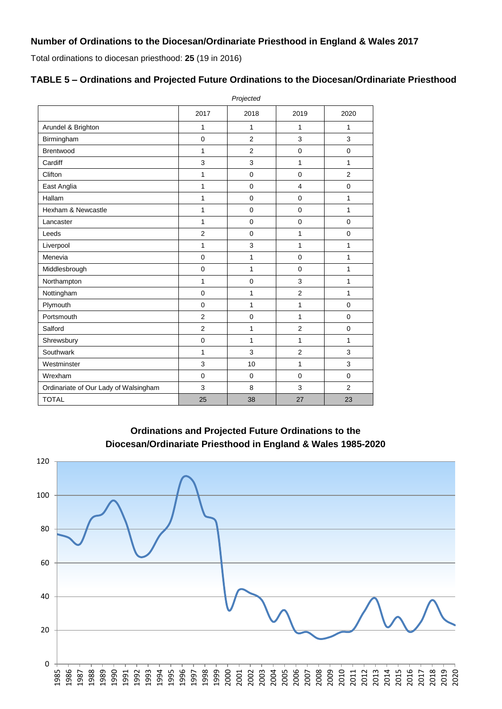# **Number of Ordinations to the Diocesan/Ordinariate Priesthood in England & Wales 2017**

Total ordinations to diocesan priesthood: **25** (19 in 2016)

|                                       | Projected      |                |                |                |  |  |
|---------------------------------------|----------------|----------------|----------------|----------------|--|--|
|                                       | 2017           | 2018           | 2019           | 2020           |  |  |
| Arundel & Brighton                    | 1              | $\mathbf{1}$   | 1              | 1              |  |  |
| Birmingham                            | $\mathbf 0$    | $\overline{2}$ | 3              | 3              |  |  |
| Brentwood                             | 1              | $\overline{2}$ | $\mathbf 0$    | $\mathbf 0$    |  |  |
| Cardiff                               | 3              | 3              | 1              | 1              |  |  |
| Clifton                               | 1              | $\mathbf 0$    | $\mathbf 0$    | $\overline{2}$ |  |  |
| East Anglia                           | 1              | $\mathbf 0$    | $\overline{4}$ | $\mathbf 0$    |  |  |
| Hallam                                | 1              | $\mathbf 0$    | $\mathbf 0$    | 1              |  |  |
| Hexham & Newcastle                    | $\mathbf{1}$   | $\mathbf 0$    | $\mathbf 0$    | 1              |  |  |
| Lancaster                             | $\mathbf{1}$   | $\mathbf 0$    | $\mathbf 0$    | $\mathbf 0$    |  |  |
| Leeds                                 | $\overline{2}$ | $\mathbf 0$    | 1              | $\mathbf 0$    |  |  |
| Liverpool                             | 1              | 3              | 1              | 1              |  |  |
| Menevia                               | $\mathbf 0$    | 1              | $\mathbf 0$    | 1              |  |  |
| Middlesbrough                         | $\pmb{0}$      | 1              | $\mathbf 0$    | 1              |  |  |
| Northampton                           | $\mathbf{1}$   | $\mathbf 0$    | 3              | 1              |  |  |
| Nottingham                            | $\mathbf 0$    | 1              | $\overline{2}$ | 1              |  |  |
| Plymouth                              | $\mathbf 0$    | $\mathbf{1}$   | 1              | $\mathbf 0$    |  |  |
| Portsmouth                            | $\overline{2}$ | $\mathbf 0$    | 1              | $\mathbf 0$    |  |  |
| Salford                               | $\overline{2}$ | 1              | $\overline{2}$ | $\mathbf 0$    |  |  |
| Shrewsbury                            | $\mathbf 0$    | $\mathbf{1}$   | 1              | 1              |  |  |
| Southwark                             | $\mathbf{1}$   | 3              | $\overline{2}$ | 3              |  |  |
| Westminster                           | 3              | 10             | 1              | 3              |  |  |
| Wrexham                               | $\mathbf 0$    | $\mathbf 0$    | $\mathbf 0$    | $\mathbf 0$    |  |  |
| Ordinariate of Our Lady of Walsingham | 3              | 8              | 3              | $\overline{2}$ |  |  |
| <b>TOTAL</b>                          | 25             | 38             | 27             | 23             |  |  |

### **TABLE 5 – Ordinations and Projected Future Ordinations to the Diocesan/Ordinariate Priesthood**

**Ordinations and Projected Future Ordinations to the Diocesan/Ordinariate Priesthood in England & Wales 1985-2020**